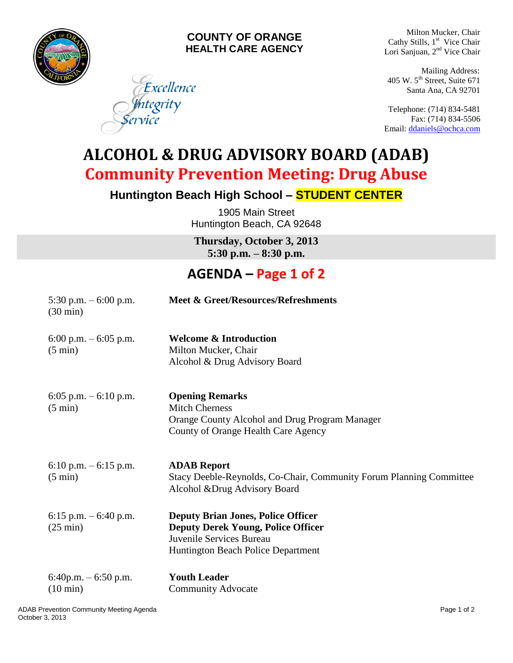

#### **COUNTY OF ORANGE HEALTH CARE AGENCY**

Excellence

ntegrity

Milton Mucker, Chair Cathy Stills, 1<sup>st</sup> Vice Chair Lori Sanjuan, 2<sup>nd</sup> Vice Chair

Mailing Address: 405 W. 5<sup>th</sup> Street, Suite 671 Santa Ana, CA 92701

Telephone: (714) 834-5481 Fax: (714) 834-5506 Email: [ddaniels@ochca.com](mailto:ddaniels@ochca.com)

**ALCOHOL & DRUG ADVISORY BOARD (ADAB) Community Prevention Meeting: Drug Abuse**

**Huntington Beach High School – STUDENT CENTER**

1905 Main Street Huntington Beach, CA 92648

**Thursday, October 3, 2013 5:30 p.m. – 8:30 p.m.** 

## **AGENDA – Page 1 of 2**

| 5:30 p.m. $-6:00$ p.m.<br>$(30 \text{ min})$   | Meet & Greet/Resources/Refreshments                                                                                                                      |
|------------------------------------------------|----------------------------------------------------------------------------------------------------------------------------------------------------------|
| 6:00 p.m. $-$ 6:05 p.m.<br>$(5 \text{ min})$   | <b>Welcome &amp; Introduction</b><br>Milton Mucker, Chair<br>Alcohol & Drug Advisory Board                                                               |
| 6:05 p.m. $-$ 6:10 p.m.<br>$(5 \text{ min})$   | <b>Opening Remarks</b><br><b>Mitch Cherness</b><br>Orange County Alcohol and Drug Program Manager<br>County of Orange Health Care Agency                 |
| 6:10 p.m. $-$ 6:15 p.m.<br>$(5 \text{ min})$   | <b>ADAB</b> Report<br>Stacy Deeble-Reynolds, Co-Chair, Community Forum Planning Committee<br>Alcohol & Drug Advisory Board                               |
| 6:15 p.m. $-6:40$ p.m.<br>$(25 \text{ min})$   | <b>Deputy Brian Jones, Police Officer</b><br><b>Deputy Derek Young, Police Officer</b><br>Juvenile Services Bureau<br>Huntington Beach Police Department |
| $6:40$ p.m. $-6:50$ p.m.<br>$(10 \text{ min})$ | <b>Youth Leader</b><br><b>Community Advocate</b>                                                                                                         |